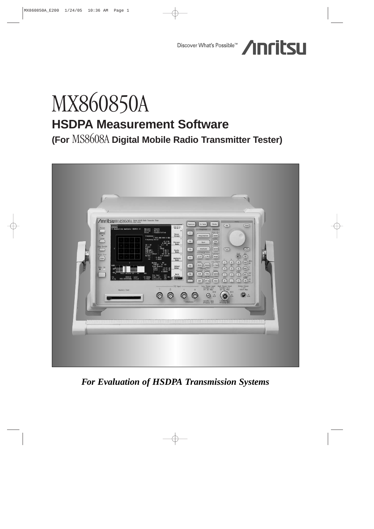# Discover What's Possible<sup>TM</sup> /InritsL

# MX860850A **HSDPA Measurement Software**

**(For** MS8608A **Digital Mobile Radio Transmitter Tester)**



*For Evaluation of HSDPA Transmission Systems*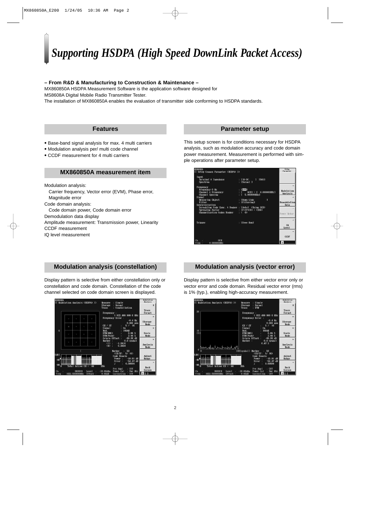# *Supporting HSDPA (High Speed DownLink Packet Access)*

## **– From R&D & Manufacturing to Construction & Maintenance –**

MX860850A HSDPA Measurement Software is the application software designed for MS8608A Digital Mobile Radio Transmitter Tester.

The installation of MX860850A enables the evaluation of transmitter side conforming to HSDPA standards.

# **Features**

- Base-band signal analysis for max. 4 multi carriers
- Modulation analysis per/ multi code channel
- CCDF measurement for 4 multi carriers

# **MX860850A measurement item**

Modulation analysis:

- Carrier frequency, Vector error (EVM), Phase error, Magnitude error
- Code domain analysis:

Code domain power, Code domain error

Demodulation data display

- Amplitude measurement: Transmission power, Linearity CCDF measurement
- IQ level measurement

This setup screen is for conditions necessary for HSDPA analysis, such as modulation accuracy and code domain power measurement. Measurement is performed with simple operations after parameter setup.

| <b>MS8608A</b><br><< Setup Common Parameter (HSDPA) >>                    |                                 | Setup<br>Paraneter |
|---------------------------------------------------------------------------|---------------------------------|--------------------|
|                                                                           |                                 |                    |
| Input                                                                     |                                 |                    |
| Terminal & Impedance                                                      | $\cdot$ [10-DC ]<br>15001       |                    |
| Spectrum                                                                  | : [Norma] ]                     |                    |
| Frequency                                                                 |                                 |                    |
| Frequency 0 Hz                                                            | : I <sub>0</sub> TH1            |                    |
| Channel & Frequency                                                       | r I<br>$OCH1 = [ 0.00000010]z1$ | Modulation         |
| <b>Channel Spacing</b>                                                    | $\cdot$ 1<br>5.000000MHz1       | Analysis           |
| <b>Signal</b>                                                             |                                 | $\rightarrow$      |
| Measuring Object                                                          | : IDown Link<br>п               |                    |
| Filter                                                                    | : [Filtering]                   | Demodulation       |
| Synchronization                                                           |                                 | Data               |
| Scrambling Code Sync. & Number : [Auto] (Using SCH)                       |                                 |                    |
|                                                                           |                                 |                    |
| Spreading Factor : [P-CPICH] = (256)<br>Channelization Codes Number : (0) |                                 | Power Meter        |
|                                                                           |                                 |                    |
| Trigger                                                                   | : [Free Run]                    |                    |
|                                                                           |                                 | 10                 |
|                                                                           |                                 | Leve l             |
|                                                                           |                                 | $\rightarrow$      |
|                                                                           |                                 |                    |
|                                                                           |                                 | CCDF               |
| c <sub>h</sub><br>0CH                                                     |                                 |                    |
| $0.0000000$ Hz<br>reu                                                     |                                 |                    |

# **Modulation analysis (constellation)**

Display pattern is selective from either constellation only or constellation and code domain. Constellation of the code channel selected on code domain screen is displayed.



# **Modulation analysis (vector error)**

Display pattern is selective from either vector error only or vector error and code domain. Residual vector error (rms) is 1% (typ.), enabling high-accuracy measurement.

| Normal<br><b>EVM</b><br>1 922.499 999 6 MHz<br>Error:<br>$-0.4$ Hz<br>$0.000$ ppn<br>5 / 16 | #<br>Trace<br>Format<br>$\boldsymbol{\mathcal{X}}$<br><b>Storage</b>                                                                                                                 |
|---------------------------------------------------------------------------------------------|--------------------------------------------------------------------------------------------------------------------------------------------------------------------------------------|
|                                                                                             |                                                                                                                                                                                      |
|                                                                                             |                                                                                                                                                                                      |
|                                                                                             |                                                                                                                                                                                      |
|                                                                                             | Mode                                                                                                                                                                                 |
| 0n                                                                                          | $\mathbf{R}$                                                                                                                                                                         |
| <b>160AM</b>                                                                                |                                                                                                                                                                                      |
|                                                                                             | Scale<br>Mode                                                                                                                                                                        |
| $-69.36$ dB<br>$0.0$ symbol<br>$0.47*$                                                      | $\ast$<br>Analysis<br>Mode                                                                                                                                                           |
| 50<br>$\cdot$                                                                               |                                                                                                                                                                                      |
| $-10.91$ dB                                                                                 | Adjust<br>Range                                                                                                                                                                      |
|                                                                                             | $\rightarrow$                                                                                                                                                                        |
| $:$ Off                                                                                     | Back<br><b>Screen</b>                                                                                                                                                                |
|                                                                                             | $0.95\;$ %<br>2.46 %<br>Origin Offset<br>Marker<br>(CH/SF:<br>5/16<br>Code Domain<br>Power:<br>$-54.47$ dB<br><b>E</b> rror<br>0.08094<br>÷<br>Pre Ampl<br>Pwr Mtr<br>Power Cal<br>. |

# **Parameter setup**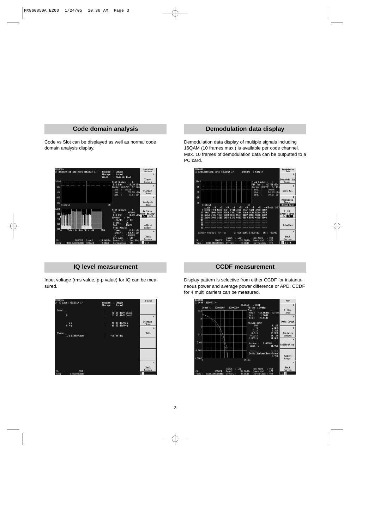# **Code domain analysis**

Code vs Slot can be displayed as well as normal code domain analysis display.

| <b>MS8608A</b><br><< Modulation Analysis (HSDPA) >><br>Heasure                                             | <b>Nodulation</b><br><b>Analysis</b><br>: Single                                                                                                                                       |
|------------------------------------------------------------------------------------------------------------|----------------------------------------------------------------------------------------------------------------------------------------------------------------------------------------|
| <b>Storage</b><br>Trace                                                                                    | #<br>: Normal<br>: Code vs Time                                                                                                                                                        |
| [dBn]                                                                                                      | Trace<br>5<br>Format<br>Slot Number :                                                                                                                                                  |
| $-25$                                                                                                      | $-11.39$<br>Fit Pwr<br>dBm<br>÷<br>$\mathbf{x}$<br>(CH/SF:<br>Marker<br>57<br>16 <sub>1</sub>                                                                                          |
| $-45$                                                                                                      | 160AM<br>Mod.<br><b>Storage</b><br>$-22.20$ dBm<br>Ahs.<br>Mode<br>$Re1.$ :<br>$-10.81$<br>dB                                                                                          |
| $-65$                                                                                                      | $\mathbf{R}$                                                                                                                                                                           |
| $-85$<br>1[Slot]                                                                                           | Analysis<br>30<br>Mode                                                                                                                                                                 |
| $L$ dB $1$<br>$-20$<br>$-40$                                                                               | Slot Number<br>Б<br>٠<br>Refresh<br>sc<br>00100<br>Wave Memory<br>Flt Pwr<br>$-11.39$ dBm<br>$\sim$<br><b>On</b><br>Off<br>50<br>Marker                                                |
| $-60$<br>$-80$                                                                                             | $CL/SF$ :<br>5/16<br>Signal<br>$_{0n}$<br>160АН<br>Mod.<br>Adjust<br>Ŧ.<br>Code Domain<br>Range                                                                                        |
| 255<br>Active $CH =$<br>$\Omega$<br>Total<br>44<br>c <sub>h</sub><br>$-18.00dBn$<br><b>9600CH</b><br>Level | $-10.81$ dB<br>Power<br>- 3<br>$\rightarrow$<br>Error<br>$-54.61$<br>$\mathbf{d}\mathbf{B}$<br>0.08288<br>p<br><b>Back</b><br>Off<br>Pre Ampl<br><b>Screen</b><br>Pwr Mtr<br>Power Cal |
| 1922.500000MHz<br>Offset<br>0.00dB<br>Freq                                                                 | 23<br>Off<br>Correction                                                                                                                                                                |

# **IQ level measurement**

Input voltage (rms value, p-p value) for IQ can be measured.



# **Demodulation data display**

Demodulation data display of multiple signals including 16QAM (10 frames max.) is available per code channel. Max. 10 frames of demodulation data can be outputted to a PC card.



# **CCDF measurement**

Display pattern is selective from either CCDF for instantaneous power and average power difference or APD. CCDF for 4 multi carriers can be measured.

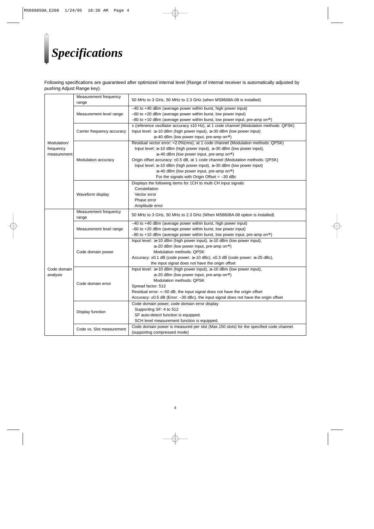# *Specifications*

Following specifications are guaranteed after optimized internal level (Range of internal receiver is automatically adjusted by pushing Adjust Range key).

| Modulation/<br>frequency<br>measurement | Measurement frequency<br>range | 50 MHz to 3 GHz, 50 MHz to 2.3 GHz (when MS8608A-08 is installed)                                                                                                                                                                                                                                                                                                                                                                                                                                 |
|-----------------------------------------|--------------------------------|---------------------------------------------------------------------------------------------------------------------------------------------------------------------------------------------------------------------------------------------------------------------------------------------------------------------------------------------------------------------------------------------------------------------------------------------------------------------------------------------------|
|                                         | Measurement level range        | -40 to +40 dBm (average power within burst, high power input)<br>-60 to +20 dBm (average power within burst, low power input)<br>$-80$ to +10 dBm (average power within burst, low power input, pre-amp on*1)                                                                                                                                                                                                                                                                                     |
|                                         | Carrier frequency accuracy     | ± (reference oscillator accuracy ±10 Hz), at 1 code channel (Modulation methods: QPSK)<br>Input level: $\geq -10$ dBm (high power input), $\geq -30$ dBm (low power input)<br>≥-40 dBm (low power input, pre-amp on*1)                                                                                                                                                                                                                                                                            |
|                                         | Modulation accuracy            | Residual vector error: <2.0%(rms), at 1 code channel (Modulation methods: QPSK)<br>Input level: ≥-10 dBm (high power input), ≥-30 dBm (low power input),<br>$\geq$ -40 dBm (low power input, pre-amp on <sup>*1</sup> )<br>Origin offset accuracy: ±0.5 dB, at 1 code channel (Modulation methods: QPSK)<br>Input level: ≥-10 dBm (high power input), ≥-30 dBm (low power input)<br>$\geq$ -40 dBm (low power input, pre-amp on <sup>*1</sup> )<br>For the signals with Origin Offset = $-30$ dBc |
|                                         | Waveform display               | Displays the following items for 1CH to multi CH input signals<br>Constellation<br>Vector error<br>Phase error<br>Amplitude error                                                                                                                                                                                                                                                                                                                                                                 |
| Code domain<br>analysis                 | Measurement frequency<br>range | 50 MHz to 3 GHz, 50 MHz to 2.3 GHz (When MS8608A-08 option is installed)                                                                                                                                                                                                                                                                                                                                                                                                                          |
|                                         | Measurement level range        | -40 to +40 dBm (average power within burst, high power input)<br>$-60$ to $+20$ dBm (average power within burst, low power input)<br>$-80$ to +10 dBm (average power within burst, low power input, pre-amp on*1)                                                                                                                                                                                                                                                                                 |
|                                         | Code domain power              | Input level: ≥+10 dBm (high power input), ≥-10 dBm (low power input),<br>$\geq$ -20 dBm (low power input, pre-amp on <sup>*1</sup> )<br>Modulation methods: QPSK<br>Accuracy: ±0.1 dB (code power: ≥-10 dBc), ±0.3 dB (code power: ≥-25 dBc),<br>the input signal does not have the origin offset                                                                                                                                                                                                 |
|                                         | Code domain error              | Input level: ≥+10 dBm (high power input), ≥-10 dBm (low power input),<br>≥-20 dBm (low power input, pre-amp on*1)<br>Modulation methods: QPSK<br>Spread factor: 512<br>Residual error: <- 50 dB, the input signal does not have the origin offset<br>Accuracy: ±0.5 dB (Error: -30 dBc), the input signal does not have the origin offset                                                                                                                                                         |
|                                         | Display function               | Code domain power, code domain error display<br>Supporting SF: 4 to 512<br>SF auto-detect function is equipped.<br>SCH level measurement function is equipped.                                                                                                                                                                                                                                                                                                                                    |
|                                         | Code vs. Slot measurement      | Code domain power is measured per slot (Max.150 slots) for the specified code channel.<br>(supporting compressed mode)                                                                                                                                                                                                                                                                                                                                                                            |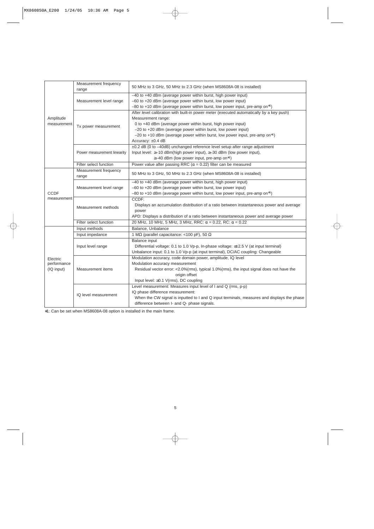|                            | Measurement frequency<br>range | 50 MHz to 3 GHz, 50 MHz to 2.3 GHz (when MS8608A-08 is installed)                          |
|----------------------------|--------------------------------|--------------------------------------------------------------------------------------------|
|                            |                                | -40 to +40 dBm (average power within burst, high power input)                              |
|                            | Measurement level range        | -60 to +20 dBm (average power within burst, low power input)                               |
|                            |                                | $-80$ to +10 dBm (average power within burst, low power input, pre-amp on*1)               |
|                            |                                | After level calibration with built-in power meter (executed automatically by a key push)   |
| Amplitude<br>measurement   |                                | Measurement range:                                                                         |
|                            | Tx power measurement           | 0 to +40 dBm (average power within burst, high power input)                                |
|                            |                                | $-20$ to $+20$ dBm (average power within burst, low power input)                           |
|                            |                                | -20 to +10 dBm (average power within burst, low power input, pre-amp on*1)                 |
|                            |                                | Accuracy: ±0.4 dB                                                                          |
|                            |                                | ±0.2 dB (0 to -40dB) unchanged reference level setup after range adjustment                |
|                            | Power measurement linearity    | Input level: ≥-10 dBm(high power input), ≥-30 dBm (low power input),                       |
|                            |                                | $\geq$ -40 dBm (low power input, pre-amp on <sup>*1</sup> )                                |
|                            | Filter select function         | Power value after passing RRC ( $\alpha$ = 0.22) filter can be measured                    |
|                            | Measurement frequency<br>range | 50 MHz to 3 GHz, 50 MHz to 2.3 GHz (when MS8608A-08 is installed)                          |
|                            |                                | -40 to +40 dBm (average power within burst, high power input)                              |
|                            | Measurement level range        | -60 to +20 dBm (average power within burst, low power input)                               |
| <b>CCDF</b><br>measurement |                                | $-80$ to +10 dBm (average power within burst, low power input, pre-amp on <sup>*1</sup> )  |
|                            |                                | CCDF:                                                                                      |
|                            | Measurement methods            | Displays an accumulation distribution of a ratio between instantaneous power and average   |
|                            |                                | power                                                                                      |
|                            |                                | APD: Displays a distribution of a ratio between instantaneous power and average power      |
|                            | Filter select function         | 20 MHz, 10 MHz, 5 MHz, 3 MHz, RRC: $\alpha$ = 0.22, RC: $\alpha$ = 0.22                    |
|                            | Input methods                  | Balance, Unbalance                                                                         |
|                            | Input impedance                | 1 M $\Omega$ (parallel capacitance: <100 pF), 50 $\Omega$                                  |
|                            |                                | Balance input                                                                              |
|                            | Input level range              | Differential voltage: 0.1 to 1.0 Vp-p, In-phase voltage: ≤±2.5 V (at input terminal)       |
|                            |                                | Unbalance input: 0.1 to 1.0 Vp-p (at input terminal), DC/AC coupling: Changeable           |
| Electric                   |                                | Modulation accuracy, code domain power, amplitude, IQ level                                |
| performance                | Measurement items              | Modulation accuracy measurement                                                            |
| (IQ input)                 |                                | Residual vector error: <2.0%(rms), typical 1.0%(rms), the input signal does not have the   |
|                            |                                | origin offset                                                                              |
|                            |                                | Input level: $\geq$ 0.1 V(rms), DC coupling                                                |
|                            |                                | Level measurement: Measures input level of I and Q (rms, p-p)                              |
|                            | IQ level measurement           | IQ phase difference measurement:                                                           |
|                            |                                | When the CW signal is inputted to I and Q input terminals, measures and displays the phase |
|                            |                                | difference between I- and Q- phase signals.                                                |

∗1: Can be set when MS8608A-08 option is installed in the main frame.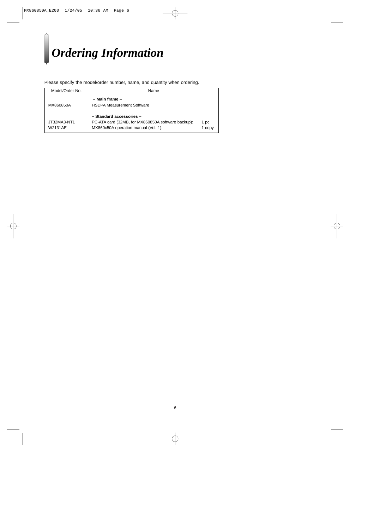# *Ordering Information*

Please specify the model/order number, name, and quantity when ordering.

| Model/Order No.        | Name                                                                                                                   |                |
|------------------------|------------------------------------------------------------------------------------------------------------------------|----------------|
| MX860850A              | – Main frame –<br><b>HSDPA Measurement Software</b>                                                                    |                |
| JT32MA3-NT1<br>W2131AE | - Standard accessories -<br>PC-ATA card (32MB, for MX860850A software backup):<br>MX860x50A operation manual (Vol. 1): | 1 pc<br>1 copy |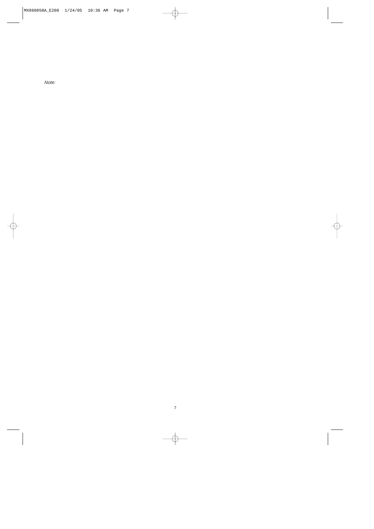Note: